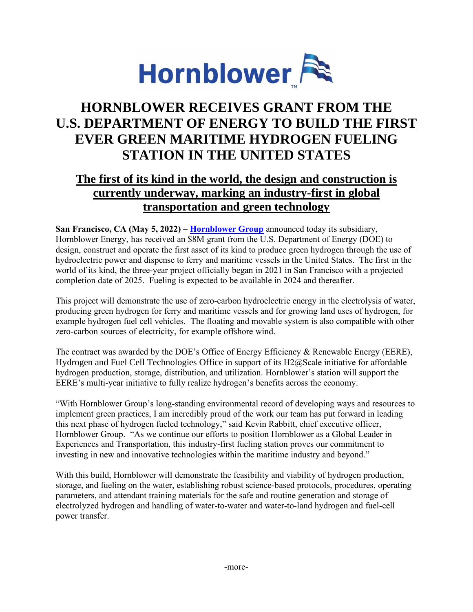

## **HORNBLOWER RECEIVES GRANT FROM THE U.S. DEPARTMENT OF ENERGY TO BUILD THE FIRST EVER GREEN MARITIME HYDROGEN FUELING STATION IN THE UNITED STATES**

## **The first of its kind in the world, the design and construction is currently underway, marking an industry-first in global transportation and green technology**

**San Francisco, CA (May 5, 2022) – [Hornblower Group](https://hbcorp.hornblower.com/)** announced today its subsidiary, Hornblower Energy, has received an \$8M grant from the U.S. Department of Energy (DOE) to design, construct and operate the first asset of its kind to produce green hydrogen through the use of hydroelectric power and dispense to ferry and maritime vessels in the United States. The first in the world of its kind, the three-year project officially began in 2021 in San Francisco with a projected completion date of 2025. Fueling is expected to be available in 2024 and thereafter.

This project will demonstrate the use of zero-carbon hydroelectric energy in the electrolysis of water, producing green hydrogen for ferry and maritime vessels and for growing land uses of hydrogen, for example hydrogen fuel cell vehicles. The floating and movable system is also compatible with other zero-carbon sources of electricity, for example offshore wind.

The contract was awarded by the DOE's Office of Energy Efficiency & Renewable Energy (EERE), Hydrogen and Fuel Cell Technologies Office in support of its H2@Scale initiative for affordable hydrogen production, storage, distribution, and utilization. Hornblower's station will support the EERE's multi-year initiative to fully realize hydrogen's benefits across the economy.

"With Hornblower Group's long-standing environmental record of developing ways and resources to implement green practices, I am incredibly proud of the work our team has put forward in leading this next phase of hydrogen fueled technology," said Kevin Rabbitt, chief executive officer, Hornblower Group. "As we continue our efforts to position Hornblower as a Global Leader in Experiences and Transportation, this industry-first fueling station proves our commitment to investing in new and innovative technologies within the maritime industry and beyond."

With this build, Hornblower will demonstrate the feasibility and viability of hydrogen production, storage, and fueling on the water, establishing robust science-based protocols, procedures, operating parameters, and attendant training materials for the safe and routine generation and storage of electrolyzed hydrogen and handling of water-to-water and water-to-land hydrogen and fuel-cell power transfer.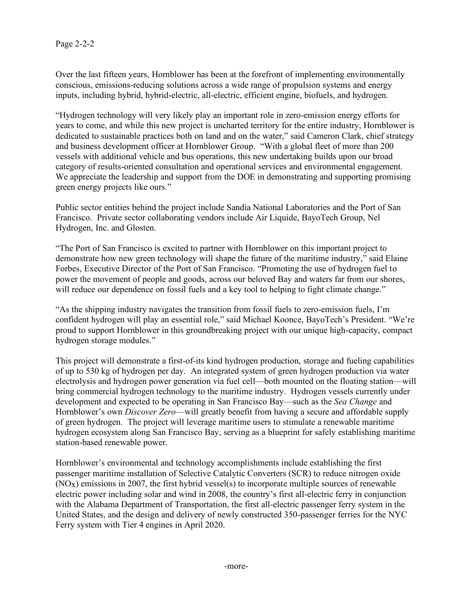Over the last fifteen years, Hornblower has been at the forefront of implementing environmentally conscious, emissions-reducing solutions across a wide range of propulsion systems and energy inputs, including hybrid, hybrid-electric, all-electric, efficient engine, biofuels, and hydrogen.

"Hydrogen technology will very likely play an important role in zero-emission energy efforts for years to come, and while this new project is uncharted territory for the entire industry, Hornblower is dedicated to sustainable practices both on land and on the water," said Cameron Clark, chief strategy and business development officer at Hornblower Group. "With a global fleet of more than 200 vessels with additional vehicle and bus operations, this new undertaking builds upon our broad category of results-oriented consultation and operational services and environmental engagement. We appreciate the leadership and support from the DOE in demonstrating and supporting promising green energy projects like ours."

Public sector entities behind the project include Sandia National Laboratories and the Port of San Francisco. Private sector collaborating vendors include Air Liquide, BayoTech Group, Nel Hydrogen, Inc. and Glosten.

"The Port of San Francisco is excited to partner with Hornblower on this important project to demonstrate how new green technology will shape the future of the maritime industry," said Elaine Forbes, Executive Director of the Port of San Francisco. "Promoting the use of hydrogen fuel to power the movement of people and goods, across our beloved Bay and waters far from our shores, will reduce our dependence on fossil fuels and a key tool to helping to fight climate change."

"As the shipping industry navigates the transition from fossil fuels to zero-emission fuels, I'm confident hydrogen will play an essential role," said Michael Koonce, BayoTech's President. "We're proud to support Hornblower in this groundbreaking project with our unique high-capacity, compact hydrogen storage modules."

This project will demonstrate a first-of-its kind hydrogen production, storage and fueling capabilities of up to 530 kg of hydrogen per day. An integrated system of green hydrogen production via water electrolysis and hydrogen power generation via fuel cell—both mounted on the floating station—will bring commercial hydrogen technology to the maritime industry. Hydrogen vessels currently under development and expected to be operating in San Francisco Bay—such as the *Sea Change* and Hornblower's own *Discover Zero*—will greatly benefit from having a secure and affordable supply of green hydrogen. The project will leverage maritime users to stimulate a renewable maritime hydrogen ecosystem along San Francisco Bay, serving as a blueprint for safely establishing maritime station-based renewable power.

Hornblower's environmental and technology accomplishments include establishing the first passenger maritime installation of Selective Catalytic Converters (SCR) to reduce nitrogen oxide (NOx) emissions in 2007, the first hybrid vessel(s) to incorporate multiple sources of renewable electric power including solar and wind in 2008, the country's first all-electric ferry in conjunction with the Alabama Department of Transportation, the first all-electric passenger ferry system in the United States, and the design and delivery of newly constructed 350-passenger ferries for the NYC Ferry system with Tier 4 engines in April 2020.